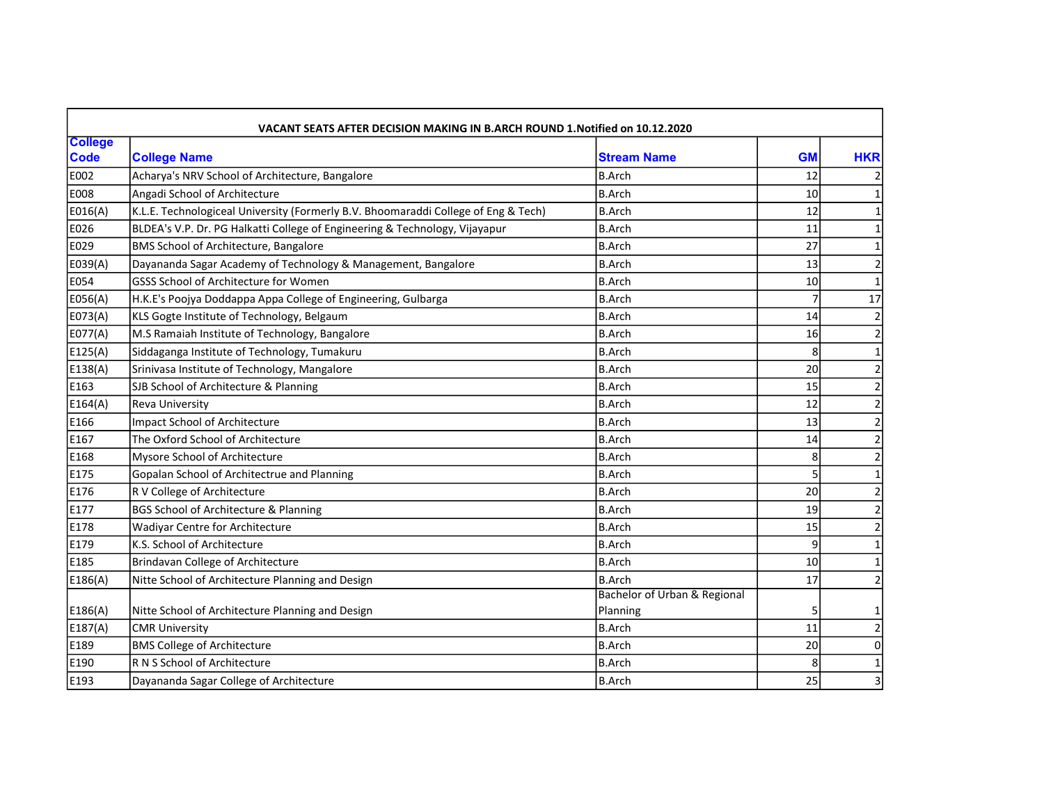| VACANT SEATS AFTER DECISION MAKING IN B.ARCH ROUND 1. Notified on 10.12.2020 |                                                                                    |                              |                 |                |  |  |
|------------------------------------------------------------------------------|------------------------------------------------------------------------------------|------------------------------|-----------------|----------------|--|--|
| <b>College</b><br><b>Code</b>                                                | <b>College Name</b>                                                                | <b>Stream Name</b>           | <b>GM</b>       | <b>HKR</b>     |  |  |
| E002                                                                         | Acharya's NRV School of Architecture, Bangalore                                    | <b>B.Arch</b>                | 12              |                |  |  |
| <b>E008</b>                                                                  | Angadi School of Architecture                                                      | <b>B.Arch</b>                | 10 <sup>1</sup> |                |  |  |
| E016(A)                                                                      | K.L.E. Technologiceal University (Formerly B.V. Bhoomaraddi College of Eng & Tech) | <b>B.Arch</b>                | 12              |                |  |  |
| E026                                                                         | BLDEA's V.P. Dr. PG Halkatti College of Engineering & Technology, Vijayapur        | <b>B.Arch</b>                | 11              |                |  |  |
| E029                                                                         | BMS School of Architecture, Bangalore                                              | <b>B.Arch</b>                | 27              |                |  |  |
| E039(A)                                                                      | Dayananda Sagar Academy of Technology & Management, Bangalore                      | <b>B.Arch</b>                | 13              |                |  |  |
| E054                                                                         | GSSS School of Architecture for Women                                              | <b>B.Arch</b>                | 10              |                |  |  |
| E056(A)                                                                      | H.K.E's Poojya Doddappa Appa College of Engineering, Gulbarga                      | <b>B.Arch</b>                |                 | 17             |  |  |
| E073(A)                                                                      | KLS Gogte Institute of Technology, Belgaum                                         | <b>B.Arch</b>                | 14              |                |  |  |
| E077(A)                                                                      | M.S Ramaiah Institute of Technology, Bangalore                                     | <b>B.Arch</b>                | 16              | $\overline{2}$ |  |  |
| E125(A)                                                                      | Siddaganga Institute of Technology, Tumakuru                                       | <b>B.Arch</b>                | 8               |                |  |  |
| E138(A)                                                                      | Srinivasa Institute of Technology, Mangalore                                       | <b>B.Arch</b>                | 20              | $\overline{2}$ |  |  |
| E163                                                                         | SJB School of Architecture & Planning                                              | <b>B.Arch</b>                | 15              |                |  |  |
| E164(A)                                                                      | Reva University                                                                    | <b>B.Arch</b>                | 12              | $\overline{a}$ |  |  |
| E166                                                                         | <b>Impact School of Architecture</b>                                               | <b>B.Arch</b>                | 13              | $\overline{a}$ |  |  |
| E167                                                                         | The Oxford School of Architecture                                                  | <b>B.Arch</b>                | 14              | $\overline{2}$ |  |  |
| E168                                                                         | Mysore School of Architecture                                                      | <b>B.Arch</b>                | 8               | $\overline{c}$ |  |  |
| E175                                                                         | Gopalan School of Architectrue and Planning                                        | <b>B.Arch</b>                |                 | $\mathbf{1}$   |  |  |
| E176                                                                         | R V College of Architecture                                                        | <b>B.Arch</b>                | 20 <sup>1</sup> |                |  |  |
| E177                                                                         | BGS School of Architecture & Planning                                              | <b>B.Arch</b>                | 19              | $\overline{2}$ |  |  |
| E178                                                                         | <b>Wadivar Centre for Architecture</b>                                             | <b>B.Arch</b>                | 15              |                |  |  |
| E179                                                                         | K.S. School of Architecture                                                        | <b>B.Arch</b>                | $\overline{9}$  |                |  |  |
| E185                                                                         | <b>Brindavan College of Architecture</b>                                           | <b>B.Arch</b>                | 10              |                |  |  |
| E186(A)                                                                      | Nitte School of Architecture Planning and Design                                   | <b>B.Arch</b>                | 17              | $\overline{2}$ |  |  |
|                                                                              |                                                                                    | Bachelor of Urban & Regional |                 |                |  |  |
| E186(A)                                                                      | Nitte School of Architecture Planning and Design                                   | Planning                     |                 |                |  |  |
| E187(A)                                                                      | <b>CMR University</b>                                                              | <b>B.Arch</b>                | 11              |                |  |  |
| E189                                                                         | <b>BMS College of Architecture</b>                                                 | <b>B.Arch</b>                | 20              | $\Omega$       |  |  |
| E190                                                                         | R N S School of Architecture                                                       | <b>B.Arch</b>                | $\mathsf{R}$    | 1              |  |  |
| E193                                                                         | Dayananda Sagar College of Architecture                                            | <b>B.Arch</b>                | 25              | 3              |  |  |